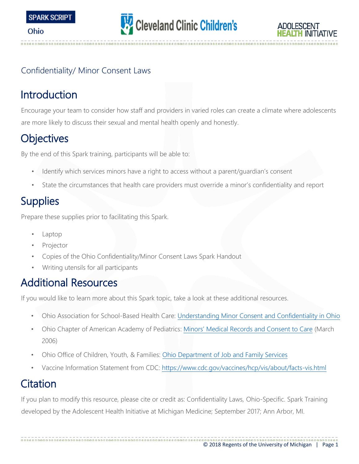





#### Confidentiality/ Minor Consent Laws

# Introduction

Encourage your team to consider how staff and providers in varied roles can create a climate where adolescents are more likely to discuss their sexual and mental health openly and honestly.

# **Objectives**

By the end of this Spark training, participants will be able to:

- Identify which services minors have a right to access without a parent/guardian's consent
- State the circumstances that health care providers must override a minor's confidentiality and report

# **Supplies**

Prepare these supplies prior to facilitating this Spark.

- Laptop
- **Projector**
- Copies of the Ohio Confidentiality/Minor Consent Laws Spark Handout
- Writing utensils for all participants

# Additional Resources

If you would like to learn more about this Spark topic, take a look at these additional resources.

- Ohio Association for School-Based Health Care: [Understanding Minor Consent and Confidentiality in Ohio](http://education.ohio.gov/Administrators/School-Based-Health-Care-Support-Toolkit)
- Ohio Chapter of American Academy of Pediatrics: [Minors' Medical Records and Co](http://www.ohioaap.org/files/TeenHealthConsent.pdf)nsent to Car[e](http://www.ohioaap.org/files/TeenHealthConsent.pdf) (March 2006)
- Ohio Office of Children, Youth, & Families: [Ohio Department of Job and Family Services](https://jfs.ohio.gov/ocf/gen_stat.stm)
- Vaccine Information Statement from CDC:<https://www.cdc.gov/vaccines/hcp/vis/about/facts-vis.html>

# Citation

If you plan to modify this resource, please cite or credit as: Confidentiality Laws, Ohio-Specific. Spark Training developed by the Adolescent Health Initiative at Michigan Medicine; September 2017; Ann Arbor, MI.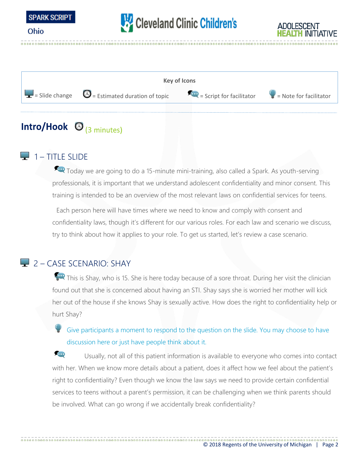

# Cleveland Clinic Children's





# Intro/Hook  $\bigcirc$  (3 minutes)

### 1 – TITLE SLIDE

Today we are going to do a 15-minute mini-training, also called a Spark. As youth-serving professionals, it is important that we understand adolescent confidentiality and minor consent. This training is intended to be an overview of the most relevant laws on confidential services for teens.

Each person here will have times where we need to know and comply with consent and confidentiality laws, though it's different for our various roles. For each law and scenario we discuss, try to think about how it applies to your role. To get us started, let's review a case scenario.

#### 2 – CASE SCENARIO: SHAY

This is Shay, who is 15. She is here today because of a sore throat. During her visit the clinician found out that she is concerned about having an STI. Shay says she is worried her mother will kick her out of the house if she knows Shay is sexually active. How does the right to confidentiality help or hurt Shay?

Give participants a moment to respond to the question on the slide. You may choose to have discussion here or just have people think about it.

**COD** Usually, not all of this patient information is available to everyone who comes into contact with her. When we know more details about a patient, does it affect how we feel about the patient's right to confidentiality? Even though we know the law says we need to provide certain confidential services to teens without a parent's permission, it can be challenging when we think parents should be involved. What can go wrong if we accidentally break confidentiality?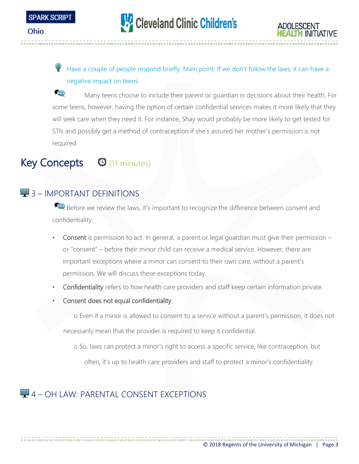

Have a couple of people respond briefly. Main point: If we don't follow the laws, it can have a negative impact on teens.

**SED** Many teens choose to include their parent or guardian in decisions about their health. For some teens, however, having the option of certain confidential services makes it more likely that they will seek care when they need it. For instance, Shay would probably be more likely to get tested for STIs and possibly get a method of contraception if she's assured her mother's permission is not required.

# Key Concepts <sup>(11 minutes)</sup>

## **3** – IMPORTANT DEFINITIONS

Before we review the laws, it's important to recognize the difference between consent and confidentiality.

- Consent is permission to act. In general, a parent or legal guardian must give their permission or "consent" – before their minor child can receive a medical service. However, there are important exceptions where a minor can consent to their own care, without a parent's permission. We will discuss these exceptions today.
- Confidentiality refers to how health care providers and staff keep certain information private.
- Consent does not equal confidentiality.

o Even if a minor is allowed to consent to a service without a parent's permission, it does not necessarily mean that the provider is required to keep it confidential.

o So, laws can protect a minor's right to access a specific service, like contraception, but

often, it's up to health care providers and staff to protect a minor's confidentiality.

## $\Box$  4 – OH LAW: PARENTAL CONSENT EXCEPTIONS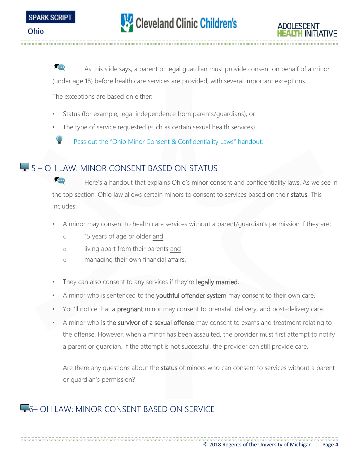

**CON** As this slide says, a parent or legal guardian must provide consent on behalf of a minor (under age 18) before health care services are provided, with several important exceptions.

The exceptions are based on either:

- Status (for example, legal independence from parents/guardians), or
- The type of service requested (such as certain sexual health services).

Pass out the "Ohio Minor Consent & Confidentiality Laws" handout.

#### **5** – OH LAW: MINOR CONSENT BASED ON STATUS

**FOD** Here's a handout that explains Ohio's minor consent and confidentiality laws. As we see in the top section, Ohio law allows certain minors to consent to services based on their status. This includes:

- A minor may consent to health care services without a parent/guardian's permission if they are:
	- o 15 years of age or older and
	- o living apart from their parents and
	- o managing their own financial affairs.
- They can also consent to any services if they're legally married.
- A minor who is sentenced to the youthful offender system may consent to their own care.
- You'll notice that a pregnant minor may consent to prenatal, delivery, and post-delivery care.
- A minor who is the survivor of a sexual offense may consent to exams and treatment relating to the offense. However, when a minor has been assaulted, the provider must first attempt to notify a parent or guardian. If the attempt is not successful, the provider can still provide care.

Are there any questions about the status of minors who can consent to services without a parent or guardian's permission?

## **F** 6– OH LAW: MINOR CONSENT BASED ON SERVICE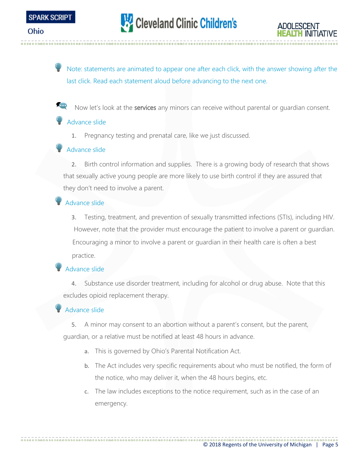

Note: statements are animated to appear one after each click, with the answer showing after the last click. Read each statement aloud before advancing to the next one.

**POINT** Now let's look at the services any minors can receive without parental or quardian consent.

#### Advance slide

1. Pregnancy testing and prenatal care, like we just discussed.

#### Advance slide

2. Birth control information and supplies. There is a growing body of research that shows that sexually active young people are more likely to use birth control if they are assured that they don't need to involve a parent.

#### Advance slide

3. Testing, treatment, and prevention of sexually transmitted infections (STIs), including HIV. However, note that the provider must encourage the patient to involve a parent or guardian. Encouraging a minor to involve a parent or guardian in their health care is often a best practice.

#### Advance slide

4. Substance use disorder treatment, including for alcohol or drug abuse. Note that this excludes opioid replacement therapy.

#### Advance slide

5. A minor may consent to an abortion without a parent's consent, but the parent, guardian, or a relative must be notified at least 48 hours in advance.

- a. This is governed by Ohio's Parental Notification Act.
- b. The Act includes very specific requirements about who must be notified, the form of the notice, who may deliver it, when the 48 hours begins, etc.
- c. The law includes exceptions to the notice requirement, such as in the case of an emergency.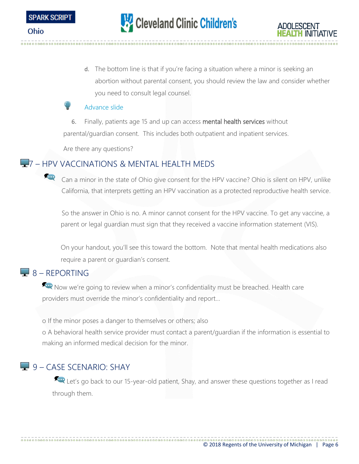d. The bottom line is that if you're facing a situation where a minor is seeking an abortion without parental consent, you should review the law and consider whether you need to consult legal counsel.

#### Advance slide

6. Finally, patients age 15 and up can access mental health services without parental/guardian consent. This includes both outpatient and inpatient services.

Are there any questions?

## **4**7 – HPV VACCINATIONS & MENTAL HEALTH MEDS

Can a minor in the state of Ohio give consent for the HPV vaccine? Ohio is silent on HPV, unlike California, that interprets getting an HPV vaccination as a protected reproductive health service.

So the answer in Ohio is no. A minor cannot consent for the HPV vaccine. To get any vaccine, a parent or legal guardian must sign that they received a vaccine information statement (VIS).

On your handout, you'll see this toward the bottom. Note that mental health medications also require a parent or guardian's consent.

## $-8 - RFPORTING$

Now we're going to review when a minor's confidentiality must be breached. Health care providers must override the minor's confidentiality and report…

o If the minor poses a danger to themselves or others; also

o A behavioral health service provider must contact a parent/guardian if the information is essential to making an informed medical decision for the minor.

## 9 – CASE SCENARIO: SHAY

Let's go back to our 15-year-old patient, Shay, and answer these questions together as I read through them.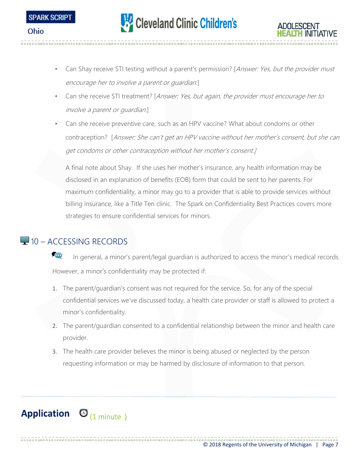

- Can Shay receive STI testing without a parent's permission? [Answer: Yes, but the provider must encourage her to involve a parent or guardian.]
- Can she receive STI treatment? [Answer: Yes, but again, the provider must encourage her to involve a parent or guardian.]
- Can she receive preventive care, such as an HPV vaccine? What about condoms or other contraception? [Answer: She can't get an HPV vaccine without her mother's consent, but she can get condoms or other contraception without her mother's consent.]

A final note about Shay. If she uses her mother's insurance, any health information may be disclosed in an explanation of benefits (EOB) form that could be sent to her parents. For maximum confidentiality, a minor may go to a provider that is able to provide services without billing insurance, like a Title Ten clinic. The Spark on Confidentiality Best Practices covers more strategies to ensure confidential services for minors.

#### $\Box$  10 – ACCESSING RECORDS

**SED** In general, a minor's parent/legal guardian is authorized to access the minor's medical records. However, a minor's confidentiality may be protected if:

- 1. The parent/guardian's consent was not required for the service. So, for any of the special confidential services we've discussed today, a health care provider or staff is allowed to protect a minor's confidentiality.
- 2. The parent/guardian consented to a confidential relationship between the minor and health care provider.
- 3. The health care provider believes the minor is being abused or neglected by the person requesting information or may be harmed by disclosure of information to that person.

# Application  $\bigcirc$ <sub>(1 minute)</sub>